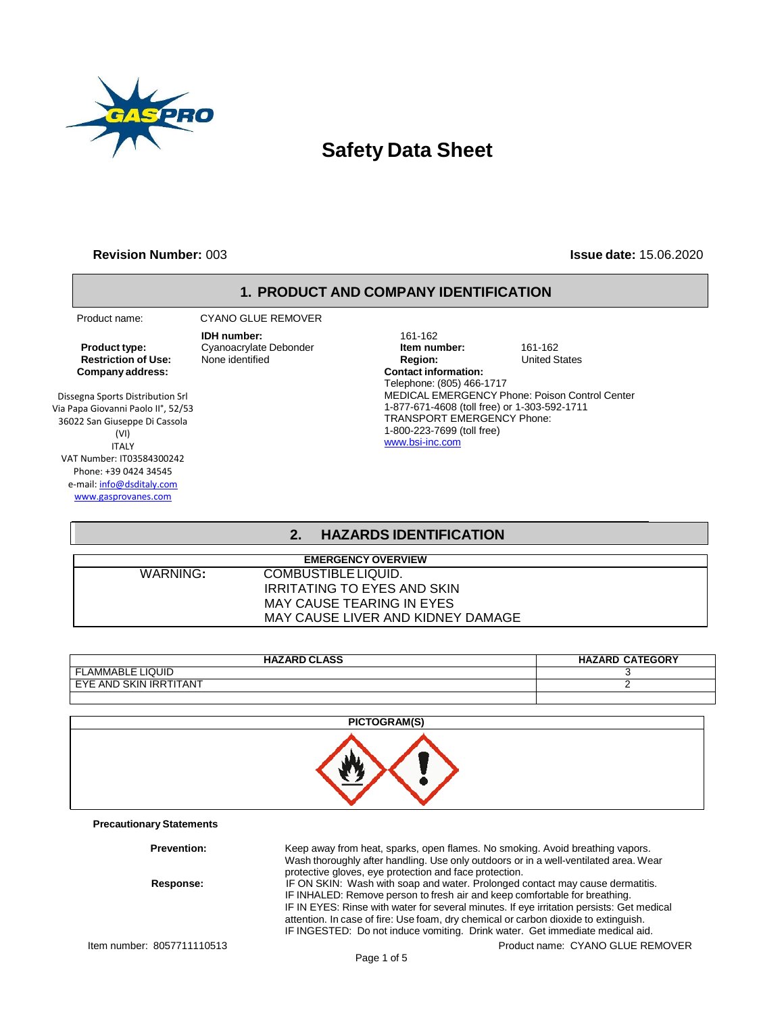

# **Safety Data Sheet**

#### **Revision Number:** 003 **Issue date:** 15.06.2020

#### **1. PRODUCT AND COMPANY IDENTIFICATION**

**Restriction of Use: Company address:**

Dissegna Sports Distribution Srl Via Papa Giovanni Paolo II°, 52/53 36022 San Giuseppe Di Cassola (VI) ITALY VAT Number: IT03584300242 Phone: +39 0424 34545 e-mail[: info@dsditaly.com](mailto:info@dsditaly.com) [www.gasprovanes.com](http://www.gasprovanes.com/)

**Precautionary Statements**

 Product name: CYANO GLUE REMOVER **IDH number:** 161-162

**Product type:** Cyanoacrylate Debonder **Item number:** 161-162<br> **Restriction of Use:** None identified **Integral Property** Region: United States **Contact information:** Telephone: (805) 466-1717 MEDICAL EMERGENCY Phone: Poison Control Center 1-877-671-4608 (toll free) or 1-303-592-1711 TRANSPORT EMERGENCY Phone: 1-800-223-7699 (toll free) [www.bsi-inc.com](http://www.bsi-inc.com/)

## **2. HAZARDS IDENTIFICATION**

|          | <b>EMERGENCY OVERVIEW</b>         |  |
|----------|-----------------------------------|--|
| WARNING: | COMBUSTIBLE LIQUID.               |  |
|          | IRRITATING TO EYES AND SKIN       |  |
|          | MAY CAUSE TEARING IN EYES         |  |
|          | MAY CAUSE LIVER AND KIDNEY DAMAGE |  |

| <b>HAZARD CLASS</b>                                          | <b>HAZARD CATEGORY</b> |
|--------------------------------------------------------------|------------------------|
| <b>LAMMABLE LIQUID</b>                                       |                        |
| <b>KTITANT</b><br>EYE AND<br><b>SKIN</b><br>IRR <sup>'</sup> |                        |
|                                                              |                        |

| PICTOGRAM(S) |
|--------------|
|              |
|              |

Item number: 8057711110513 Product name: CYANO GLUE REMOVER **Prevention:** Keep away from heat, sparks, open flames. No smoking. Avoid breathing vapors. Wash thoroughly after handling. Use only outdoors or in a well-ventilated area. Wear protective gloves, eye protection and face protection. **Response:** IF ON SKIN: Wash with soap and water. Prolonged contact may cause dermatitis. . IF INHALED: Remove person to fresh air and keep comfortable for breathing. IF IN EYES: Rinse with water for several minutes. If eye irritation persists: Get medical attention. In case of fire: Use foam, dry chemical or carbon dioxide to extinguish. IF INGESTED: Do not induce vomiting. Drink water. Get immediate medical aid.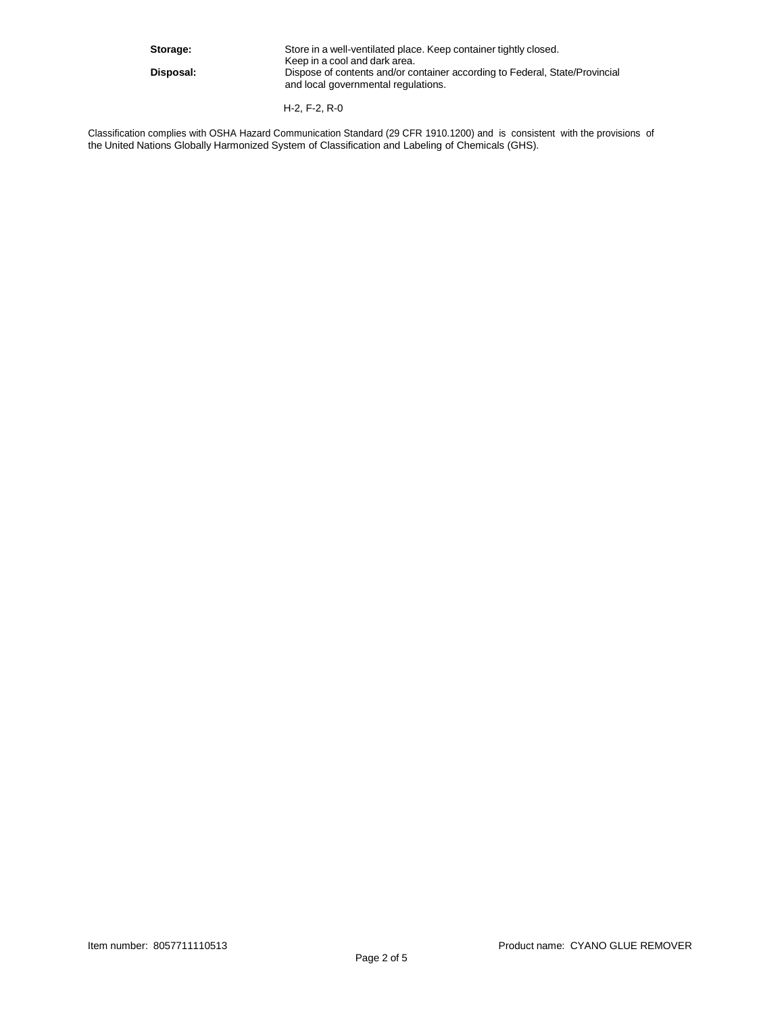Storage: Store in a well-ventilated place. Keep container tightly closed. Keep in a cool and dark area. **Disposal:** Dispose of contents and/or container according to Federal, State/Provincial and local governmental regulations.

H-2, F-2, R-0

Classification complies with OSHA Hazard Communication Standard (29 CFR 1910.1200) and is consistent with the provisions of the United Nations Globally Harmonized System of Classification and Labeling of Chemicals (GHS).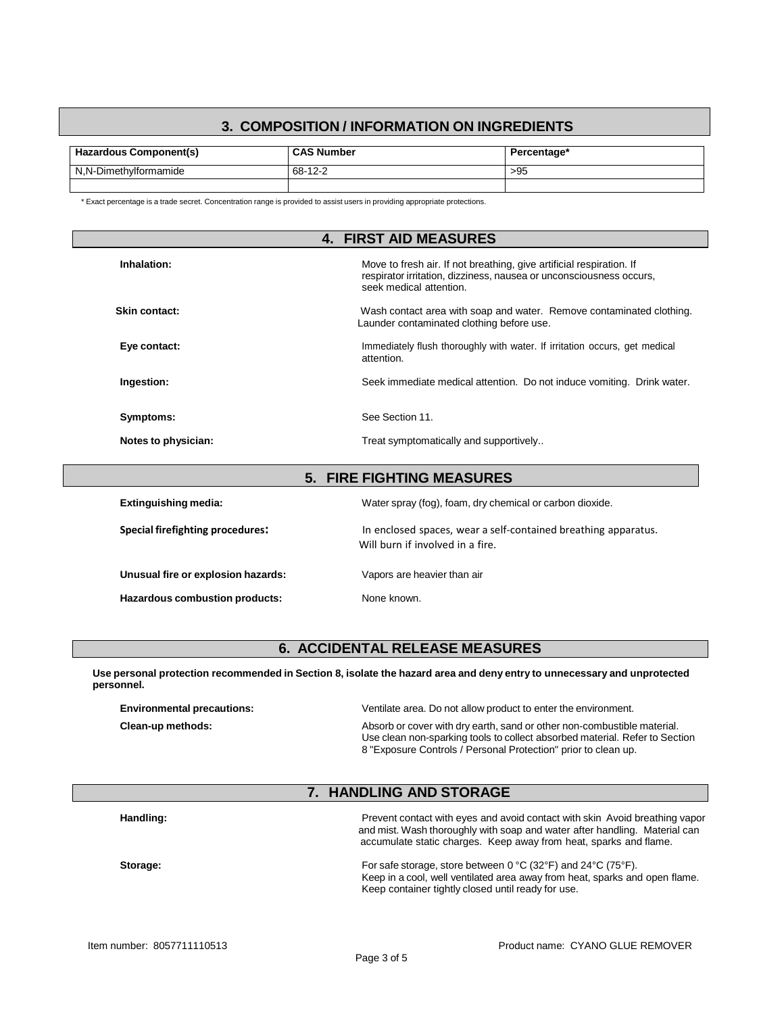## **3. COMPOSITION / INFORMATION ON INGREDIENTS**

| Hazardous Component(s) | <b>CAS Number</b> | Percentage* |
|------------------------|-------------------|-------------|
| N.N-Dimethylformamide  | $-12-2$<br>$68 -$ | >95         |
|                        |                   |             |

\* Exact percentage is a trade secret. Concentration range is provided to assist users in providing appropriate protections.

|                                                                                                                                                                                       | <b>4. FIRST AID MEASURES</b>                                                                                      |  |
|---------------------------------------------------------------------------------------------------------------------------------------------------------------------------------------|-------------------------------------------------------------------------------------------------------------------|--|
| Inhalation:<br>Move to fresh air. If not breathing, give artificial respiration. If<br>respirator irritation, dizziness, nausea or unconsciousness occurs,<br>seek medical attention. |                                                                                                                   |  |
| Skin contact:                                                                                                                                                                         | Wash contact area with soap and water. Remove contaminated clothing.<br>Launder contaminated clothing before use. |  |
| Eye contact:                                                                                                                                                                          | Immediately flush thoroughly with water. If irritation occurs, get medical<br>attention.                          |  |
| Ingestion:                                                                                                                                                                            | Seek immediate medical attention. Do not induce vomiting. Drink water.                                            |  |
| See Section 11.<br>Symptoms:                                                                                                                                                          |                                                                                                                   |  |
| Notes to physician:                                                                                                                                                                   | Treat symptomatically and supportively                                                                            |  |
| <b>5. FIRE FIGHTING MEASURES</b>                                                                                                                                                      |                                                                                                                   |  |

| Water spray (fog), foam, dry chemical or carbon dioxide.                                           |
|----------------------------------------------------------------------------------------------------|
| In enclosed spaces, wear a self-contained breathing apparatus.<br>Will burn if involved in a fire. |
| Vapors are heavier than air                                                                        |
| None known.                                                                                        |
|                                                                                                    |

## **6. ACCIDENTAL RELEASE MEASURES**

Use personal protection recommended in Section 8, isolate the hazard area and deny entry to unnecessary and unprotected **personnel.**

| <b>Environmental precautions:</b> | Ventilate area. Do not allow product to enter the environment.                                                                                                                                                           |
|-----------------------------------|--------------------------------------------------------------------------------------------------------------------------------------------------------------------------------------------------------------------------|
| Clean-up methods:                 | Absorb or cover with dry earth, sand or other non-combustible material.<br>Use clean non-sparking tools to collect absorbed material. Refer to Section<br>8 "Exposure Controls / Personal Protection" prior to clean up. |

## **7. HANDLING AND STORAGE**

| Handling: | Prevent contact with eyes and avoid contact with skin Avoid breathing vapor<br>and mist. Wash thoroughly with soap and water after handling. Material can<br>accumulate static charges. Keep away from heat, sparks and flame.              |
|-----------|---------------------------------------------------------------------------------------------------------------------------------------------------------------------------------------------------------------------------------------------|
| Storage:  | For safe storage, store between $0^{\circ}$ C (32 $^{\circ}$ F) and 24 $^{\circ}$ C (75 $^{\circ}$ F).<br>Keep in a cool, well ventilated area away from heat, sparks and open flame.<br>Keep container tightly closed until ready for use. |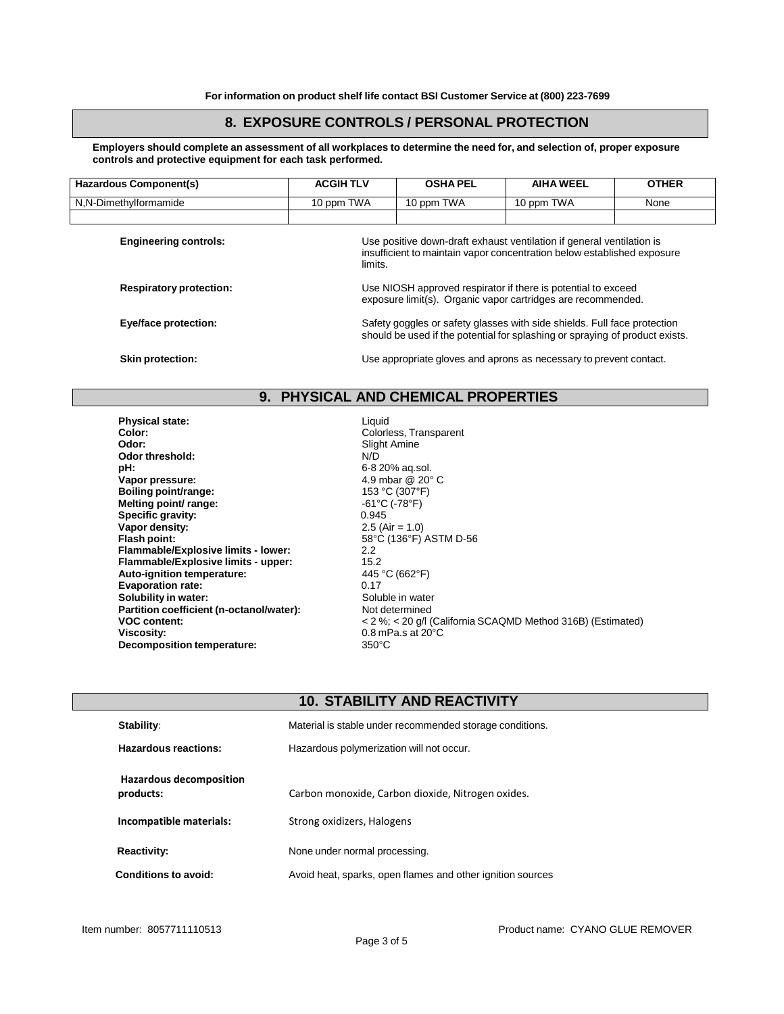## **8. EXPOSURE CONTROLS / PERSONAL PROTECTION**

Employers should complete an assessment of all workplaces to determine the need for, and selection of, proper exposure **controls and protective equipment for each task performed.**

| <b>Hazardous Component(s)</b>  | <b>ACGIHTLV</b>                                                                                                                                          | <b>OSHA PEL</b>                                                                                                                                  | <b>AIHA WEEL</b> | <b>OTHER</b> |
|--------------------------------|----------------------------------------------------------------------------------------------------------------------------------------------------------|--------------------------------------------------------------------------------------------------------------------------------------------------|------------------|--------------|
| N,N-Dimethylformamide          | 10 ppm TWA                                                                                                                                               | 10 ppm TWA                                                                                                                                       | 10 ppm TWA       | None         |
|                                |                                                                                                                                                          |                                                                                                                                                  |                  |              |
| <b>Engineering controls:</b>   | limits.                                                                                                                                                  | Use positive down-draft exhaust ventilation if general ventilation is<br>insufficient to maintain vapor concentration below established exposure |                  |              |
| <b>Respiratory protection:</b> | Use NIOSH approved respirator if there is potential to exceed<br>exposure limit(s). Organic vapor cartridges are recommended.                            |                                                                                                                                                  |                  |              |
| Eye/face protection:           | Safety goggles or safety glasses with side shields. Full face protection<br>should be used if the potential for splashing or spraying of product exists. |                                                                                                                                                  |                  |              |
| <b>Skin protection:</b>        |                                                                                                                                                          | Use appropriate gloves and aprons as necessary to prevent contact.                                                                               |                  |              |

## **9. PHYSICAL AND CHEMICAL PROPERTIES**

**Liquid** 

| <b>Physical state:</b>                   | Liquid          |
|------------------------------------------|-----------------|
| Color:                                   | Colorle         |
| Odor:                                    | Slight /        |
| Odor threshold:                          | N/D             |
| pH:                                      | $6 - 820$       |
| Vapor pressure:                          | 4.9 mb          |
| Boiling point/range:                     | 153 °C          |
| Melting point/ range:                    | $-61^{\circ}$ C |
| Specific gravity:                        | 0.945           |
| Vapor density:                           | 2.5 (Ai         |
| Flash point:                             | 58°C (          |
| Flammable/Explosive limits - lower:      | $2.2^{\circ}$   |
| Flammable/Explosive limits - upper:      | 15.2            |
| Auto-ignition temperature:               | 445 °C          |
| <b>Evaporation rate:</b>                 | 0.17            |
| Solubility in water:                     | Soluble         |
| Partition coefficient (n-octanol/water): | Not de          |
| <b>VOC content:</b>                      | $< 2 \%$ :      |
| <b>Viscosity:</b>                        | $0.8m$ P        |
| Decomposition temperature:               | $350^{\circ}$ C |

**Color:** Colorless, Transparent Slight Amine<br>N/D **pH:** 6-8 20% aq.sol. **Vapor pressure:** 4.9 mbar @ 20° C **Boiling point/range:** 153 °C (307°F) **Melting point/ range:** -61°C (-78°F)  $2.5$  (Air = 1.0) **Flash point:** 58°C (136°F) ASTM D-56 **Auto-ignition temperature:** 445 °C (662°F) **Soluble** in water **Participle Contains Solution Coefficient Contains Solution Coefficient Coefficient VOC content:** < 2 %; < 20 g/l (California SCAQMD Method 316B) (Estimated) **Viscosity:** 0.8 mPa.s at 20°C

#### **10. STABILITY AND REACTIVITY**

| Stability:                                  | Material is stable under recommended storage conditions.   |  |
|---------------------------------------------|------------------------------------------------------------|--|
| Hazardous reactions:                        | Hazardous polymerization will not occur.                   |  |
| <b>Hazardous decomposition</b><br>products: | Carbon monoxide, Carbon dioxide, Nitrogen oxides.          |  |
| Incompatible materials:                     | Strong oxidizers, Halogens                                 |  |
| <b>Reactivity:</b>                          | None under normal processing.                              |  |
| Conditions to avoid:                        | Avoid heat, sparks, open flames and other ignition sources |  |